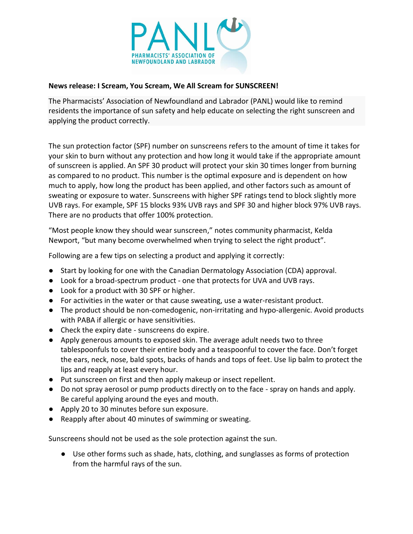

## **News release: I Scream, You Scream, We All Scream for SUNSCREEN!**

The Pharmacists' Association of Newfoundland and Labrador (PANL) would like to remind residents the importance of sun safety and help educate on selecting the right sunscreen and applying the product correctly.

The sun protection factor (SPF) number on sunscreens refers to the amount of time it takes for your skin to burn without any protection and how long it would take if the appropriate amount of sunscreen is applied. An SPF 30 product will protect your skin 30 times longer from burning as compared to no product. This number is the optimal exposure and is dependent on how much to apply, how long the product has been applied, and other factors such as amount of sweating or exposure to water. Sunscreens with higher SPF ratings tend to block slightly more UVB rays. For example, SPF 15 blocks 93% UVB rays and SPF 30 and higher block 97% UVB rays. There are no products that offer 100% protection.

"Most people know they should wear sunscreen," notes community pharmacist, Kelda Newport, "but many become overwhelmed when trying to select the right product".

Following are a few tips on selecting a product and applying it correctly:

- Start by looking for one with the Canadian Dermatology Association (CDA) approval.
- Look for a broad-spectrum product one that protects for UVA and UVB rays.
- Look for a product with 30 SPF or higher.
- For activities in the water or that cause sweating, use a water-resistant product.
- The product should be non-comedogenic, non-irritating and hypo-allergenic. Avoid products with PABA if allergic or have sensitivities.
- Check the expiry date sunscreens do expire.
- Apply generous amounts to exposed skin. The average adult needs two to three tablespoonfuls to cover their entire body and a teaspoonful to cover the face. Don't forget the ears, neck, nose, bald spots, backs of hands and tops of feet. Use lip balm to protect the lips and reapply at least every hour.
- Put sunscreen on first and then apply makeup or insect repellent.
- Do not spray aerosol or pump products directly on to the face spray on hands and apply. Be careful applying around the eyes and mouth.
- Apply 20 to 30 minutes before sun exposure.
- Reapply after about 40 minutes of swimming or sweating.

Sunscreens should not be used as the sole protection against the sun.

● Use other forms such as shade, hats, clothing, and sunglasses as forms of protection from the harmful rays of the sun.